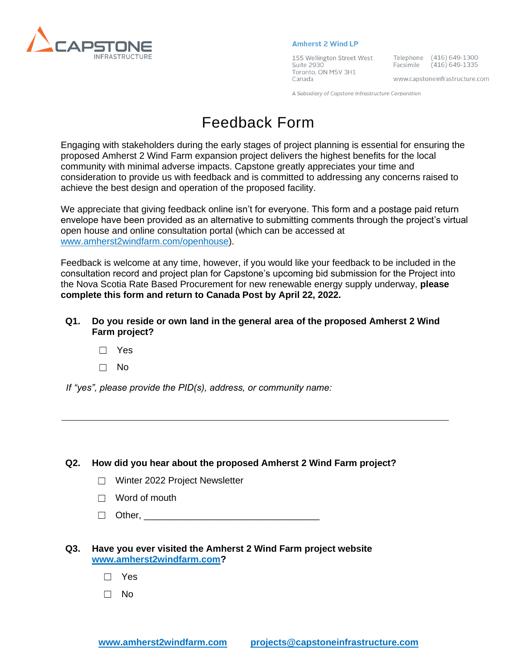

#### **Amherst 2 Wind LP**

155 Wellington Street West Suite 2930 Toronto, ON M5V 3H1 Canada

Telephone (416) 649-1300 Facsimile (416) 649-1335

www.capstoneinfrastructure.com

A Subsidiary of Capstone Infrastructure Corporation

# Feedback Form

Engaging with stakeholders during the early stages of project planning is essential for ensuring the proposed Amherst 2 Wind Farm expansion project delivers the highest benefits for the local community with minimal adverse impacts. Capstone greatly appreciates your time and consideration to provide us with feedback and is committed to addressing any concerns raised to achieve the best design and operation of the proposed facility.

We appreciate that giving feedback online isn't for everyone. This form and a postage paid return envelope have been provided as an alternative to submitting comments through the project's virtual open house and online consultation portal (which can be accessed at [www.amherst2windfarm.com/openhouse\)](http://www.amherst2windfarm.com/openhouse).

Feedback is welcome at any time, however, if you would like your feedback to be included in the consultation record and project plan for Capstone's upcoming bid submission for the Project into the Nova Scotia Rate Based Procurement for new renewable energy supply underway, **please complete this form and return to Canada Post by April 22, 2022.**

### **Q1. Do you reside or own land in the general area of the proposed Amherst 2 Wind Farm project?**

- ☐ Yes
- ☐ No

*If "yes", please provide the PID(s), address, or community name:*

#### **Q2. How did you hear about the proposed Amherst 2 Wind Farm project?**

- ☐ Winter 2022 Project Newsletter
- $\Box$  Word of mouth
- ☐ Other, \_\_\_\_\_\_\_\_\_\_\_\_\_\_\_\_\_\_\_\_\_\_\_\_\_\_\_\_\_\_\_\_\_\_

#### **Q3. Have you ever visited the Amherst 2 Wind Farm project website [www.amherst2windfarm.com?](http://www.amherst2windfarm.com/)**

- ☐ Yes
- ☐ No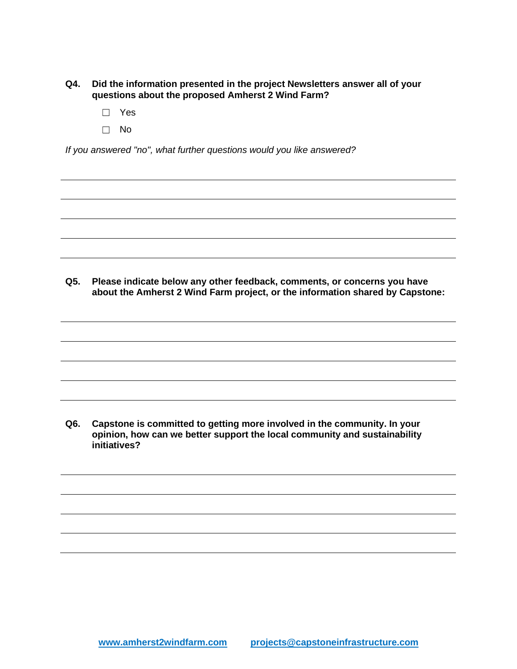- **Q4. Did the information presented in the project Newsletters answer all of your questions about the proposed Amherst 2 Wind Farm?**
	- ☐ Yes
	- ☐ No

*If you answered "no", what further questions would you like answered?*

**Q5. Please indicate below any other feedback, comments, or concerns you have about the Amherst 2 Wind Farm project, or the information shared by Capstone:**

**Q6. Capstone is committed to getting more involved in the community. In your opinion, how can we better support the local community and sustainability initiatives?**